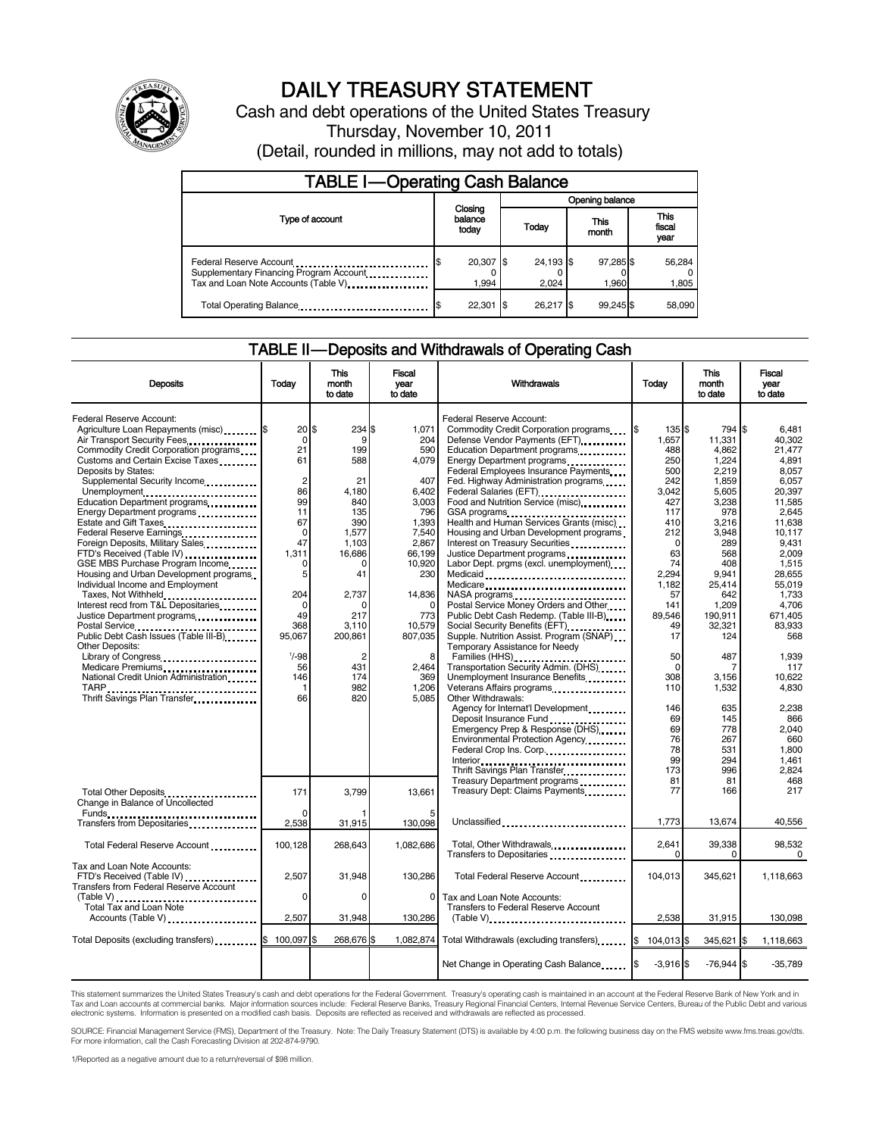

## DAILY TREASURY STATEMENT

Cash and debt operations of the United States Treasury Thursday, November 10, 2011 (Detail, rounded in millions, may not add to totals)

| <b>TABLE I-Operating Cash Balance</b>                                                                       |                             |       |                        |                    |                               |  |  |
|-------------------------------------------------------------------------------------------------------------|-----------------------------|-------|------------------------|--------------------|-------------------------------|--|--|
|                                                                                                             |                             |       | Opening balance        |                    |                               |  |  |
| Type of account                                                                                             | Closing<br>balance<br>today |       | This<br>Today<br>month |                    | <b>This</b><br>fiscal<br>year |  |  |
| Federal Reserve Account<br>Supplementary Financing Program Account<br>Tax and Loan Note Accounts (Table V). | 20,307 \$<br>1,994          |       | 24,193 \$<br>2.024     | 97,285 \$<br>1,960 | 56,284<br>1,805               |  |  |
| Total Operating Balance                                                                                     | 22,301                      | - 1\$ | 26.217 \$              | 99.245 \$          | 58.090                        |  |  |

#### TABLE II — Deposits and Withdrawals of Operating Cash

| <b>Deposits</b>                                                                                                                                                                                                                                                                                                                                                                                                                                                                                                                                            | Today                                                                                                               | This<br>month<br>to date                                                                                         | Fiscal<br>vear<br>to date                                                                                                    | Withdrawals                                                                                                                                                                                                                                                                                                                                                                                                                                                                                                                                                                                             | Today                                                                                                                           | <b>This</b><br>month<br>to date                                                                                                                | Fiscal<br>year<br>to date                                                                                                                                     |
|------------------------------------------------------------------------------------------------------------------------------------------------------------------------------------------------------------------------------------------------------------------------------------------------------------------------------------------------------------------------------------------------------------------------------------------------------------------------------------------------------------------------------------------------------------|---------------------------------------------------------------------------------------------------------------------|------------------------------------------------------------------------------------------------------------------|------------------------------------------------------------------------------------------------------------------------------|---------------------------------------------------------------------------------------------------------------------------------------------------------------------------------------------------------------------------------------------------------------------------------------------------------------------------------------------------------------------------------------------------------------------------------------------------------------------------------------------------------------------------------------------------------------------------------------------------------|---------------------------------------------------------------------------------------------------------------------------------|------------------------------------------------------------------------------------------------------------------------------------------------|---------------------------------------------------------------------------------------------------------------------------------------------------------------|
| Federal Reserve Account:<br>Agriculture Loan Repayments (misc) [\$<br>Air Transport Security Fees<br>Commodity Credit Corporation programs<br>Customs and Certain Excise Taxes<br>Deposits by States:<br>Supplemental Security Income<br>Unemployment<br>Education Department programs<br>Energy Department programs<br>Federal Reserve Earnings.<br>Foreign Deposits, Military Sales<br>FTD's Received (Table IV)<br>GSE MBS Purchase Program Income<br>Housing and Urban Development programs<br>Individual Income and Employment<br>Taxes, Not Withheld | 20<br>$\mathbf 0$<br>21<br>61<br>$\overline{2}$<br>86<br>99<br>11<br>67<br>0<br>47<br>1,311<br>$\Omega$<br>5<br>204 | \$<br>234<br>9<br>199<br>588<br>21<br>4.180<br>840<br>135<br>390<br>1,577<br>1.103<br>16,686<br>0<br>41<br>2,737 | 1,071<br>204<br>590<br>4,079<br>407<br>6,402<br>3,003<br>796<br>1,393<br>7,540<br>2.867<br>66,199<br>10,920<br>230<br>14,836 | Federal Reserve Account:<br>Commodity Credit Corporation programs<br>Defense Vendor Payments (EFT)<br>Education Department programs<br>Energy Department programs<br>Federal Employees Insurance Payments<br>Fed. Highway Administration programs<br>Federal Salaries (EFT)<br>Food and Nutrition Service (misc)<br>GSA programs<br>Health and Human Services Grants (misc)<br>Housing and Urban Development programs<br>Interest on Treasury Securities<br>Justice Department programs<br>Labor Dept. prgms (excl. unemployment)<br>Medicare<br>NASA programs<br>Postal Service Money Orders and Other | 135\$<br>1,657<br>488<br>250<br>500<br>242<br>3,042<br>427<br>117<br>410<br>212<br>$\Omega$<br>63<br>74<br>2.294<br>1.182<br>57 | 794 \$<br>11,331<br>4.862<br>1,224<br>2,219<br>1,859<br>5,605<br>3,238<br>978<br>3,216<br>3,948<br>289<br>568<br>408<br>9,941<br>25,414<br>642 | 6.481<br>40.302<br>21.477<br>4,891<br>8,057<br>6,057<br>20.397<br>11.585<br>2,645<br>11.638<br>10.117<br>9.431<br>2,009<br>1,515<br>28.655<br>55.019<br>1,733 |
| Interest recd from T&L Depositaries<br>Justice Department programs<br>Postal Service<br>Public Debt Cash Issues (Table III-B)<br>The Line of Cash Issues (Table III-B)<br><b>Other Deposits:</b>                                                                                                                                                                                                                                                                                                                                                           | $\Omega$<br>49<br>368<br>95.067                                                                                     | O<br>217<br>3,110<br>200,861                                                                                     | $\Omega$<br>773<br>10,579<br>807,035                                                                                         | Public Debt Cash Redemp. (Table III-B)<br>Social Security Benefits (EFT)<br>Supple. Nutrition Assist. Program (SNAP)<br>Temporary Assistance for Needy                                                                                                                                                                                                                                                                                                                                                                                                                                                  | 141<br>89.546<br>49<br>17                                                                                                       | 1,209<br>190,911<br>32,321<br>124                                                                                                              | 4,706<br>671.405<br>83.933<br>568                                                                                                                             |
| Library of Congress<br>Medicare Premiums<br><br>National Credit Union Administration<br>TARP<br>Thrift Savings Plan Transfer                                                                                                                                                                                                                                                                                                                                                                                                                               | $1/ -98$<br>56<br>146<br>-1<br>66                                                                                   | 2<br>431<br>174<br>982<br>820                                                                                    | 8<br>2.464<br>369<br>1,206<br>5,085                                                                                          | Families (HHS)<br>Transportation Security Admin. (DHS)<br>Unemployment Insurance Benefits<br>Other Withdrawals:                                                                                                                                                                                                                                                                                                                                                                                                                                                                                         | 50<br>$\Omega$<br>308<br>110                                                                                                    | 487<br>7<br>3.156<br>1,532                                                                                                                     | 1,939<br>117<br>10.622<br>4,830                                                                                                                               |
|                                                                                                                                                                                                                                                                                                                                                                                                                                                                                                                                                            |                                                                                                                     |                                                                                                                  |                                                                                                                              | Agency for Internat'l Development.<br>Deposit Insurance Fund<br>Emergency Prep & Response (DHS)<br>Environmental Protection Agency<br>Federal Crop Ins. Corp.<br>Interior<br>Thrift Savings Plan Transfer                                                                                                                                                                                                                                                                                                                                                                                               | 146<br>69<br>69<br>76<br>78<br>99<br>173                                                                                        | 635<br>145<br>778<br>267<br>531<br>294<br>996                                                                                                  | 2,238<br>866<br>2,040<br>660<br>1.800<br>1.461<br>2,824                                                                                                       |
| Total Other Deposits<br>Change in Balance of Uncollected                                                                                                                                                                                                                                                                                                                                                                                                                                                                                                   | 171                                                                                                                 | 3.799                                                                                                            | 13.661                                                                                                                       | Treasury Department programs<br>Treasury Dept: Claims Payments                                                                                                                                                                                                                                                                                                                                                                                                                                                                                                                                          | 81<br>77                                                                                                                        | 81<br>166                                                                                                                                      | 468<br>217                                                                                                                                                    |
| Transfers from Depositaries                                                                                                                                                                                                                                                                                                                                                                                                                                                                                                                                | $\Omega$<br>2,538                                                                                                   | 31,915                                                                                                           | 130,098                                                                                                                      | Unclassified                                                                                                                                                                                                                                                                                                                                                                                                                                                                                                                                                                                            | 1,773                                                                                                                           | 13,674                                                                                                                                         | 40,556                                                                                                                                                        |
| Total Federal Reserve Account                                                                                                                                                                                                                                                                                                                                                                                                                                                                                                                              | 100,128                                                                                                             | 268,643                                                                                                          | 1,082,686                                                                                                                    | Total, Other Withdrawals<br>Transfers to Depositaries                                                                                                                                                                                                                                                                                                                                                                                                                                                                                                                                                   | 2,641<br>$\Omega$                                                                                                               | 39,338<br>$\Omega$                                                                                                                             | 98.532<br>$\Omega$                                                                                                                                            |
| Tax and Loan Note Accounts:<br>FTD's Received (Table IV)<br>Transfers from Federal Reserve Account                                                                                                                                                                                                                                                                                                                                                                                                                                                         | 2,507                                                                                                               | 31,948                                                                                                           | 130,286                                                                                                                      | Total Federal Reserve Account                                                                                                                                                                                                                                                                                                                                                                                                                                                                                                                                                                           | 104,013                                                                                                                         | 345,621                                                                                                                                        | 1,118,663                                                                                                                                                     |
| (Table V)<br>Total Tax and Loan Note<br>Accounts (Table V)                                                                                                                                                                                                                                                                                                                                                                                                                                                                                                 | $\Omega$<br>2,507                                                                                                   | $\Omega$<br>31,948                                                                                               | $\Omega$<br>130,286                                                                                                          | Tax and Loan Note Accounts:<br>Transfers to Federal Reserve Account                                                                                                                                                                                                                                                                                                                                                                                                                                                                                                                                     | 2,538                                                                                                                           | 31,915                                                                                                                                         | 130,098                                                                                                                                                       |
| Total Deposits (excluding transfers) <b>S</b>                                                                                                                                                                                                                                                                                                                                                                                                                                                                                                              | 100.097 \$                                                                                                          | 268.676 \$                                                                                                       |                                                                                                                              | 1,082,874 Total Withdrawals (excluding transfers)                                                                                                                                                                                                                                                                                                                                                                                                                                                                                                                                                       | 104,013 \$<br>l\$                                                                                                               | 345,621 \$                                                                                                                                     | 1,118,663                                                                                                                                                     |
|                                                                                                                                                                                                                                                                                                                                                                                                                                                                                                                                                            |                                                                                                                     |                                                                                                                  |                                                                                                                              | Net Change in Operating Cash Balance                                                                                                                                                                                                                                                                                                                                                                                                                                                                                                                                                                    | $-3.916$ \$                                                                                                                     | $-76.944$ \$                                                                                                                                   | $-35,789$                                                                                                                                                     |

This statement summarizes the United States Treasury's cash and debt operations for the Federal Government. Treasury's operating cash is maintained in an account at the Federal Reserve Bank of New York and in<br>Tax and Loan

SOURCE: Financial Management Service (FMS), Department of the Treasury. Note: The Daily Treasury Statement (DTS) is available by 4:00 p.m. the following business day on the FMS website www.fms.treas.gov/dts.<br>For more infor

1/Reported as a negative amount due to a return/reversal of \$98 million.